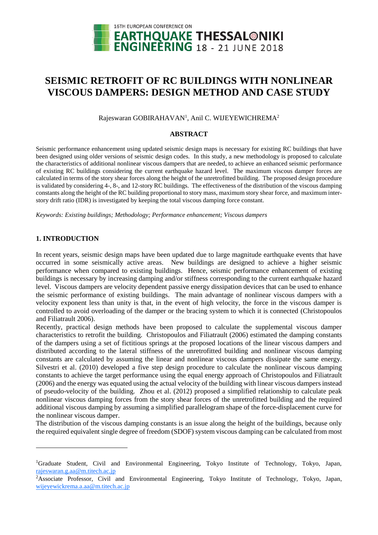

# **SEISMIC RETROFIT OF RC BUILDINGS WITH NONLINEAR VISCOUS DAMPERS: DESIGN METHOD AND CASE STUDY**

Rajeswaran GOBIRAHAVAN<sup>1</sup>, Anil C. WIJEYEWICHREMA<sup>2</sup>

## **ABSTRACT**

Seismic performance enhancement using updated seismic design maps is necessary for existing RC buildings that have been designed using older versions of seismic design codes. In this study, a new methodology is proposed to calculate the characteristics of additional nonlinear viscous dampers that are needed, to achieve an enhanced seismic performance of existing RC buildings considering the current earthquake hazard level. The maximum viscous damper forces are calculated in terms of the story shear forces along the height of the unretrofitted building. The proposed design procedure is validated by considering 4-, 8-, and 12-story RC buildings. The effectiveness of the distribution of the viscous damping constants along the height of the RC building proportional to story mass, maximum story shear force, and maximum interstory drift ratio (IDR) is investigated by keeping the total viscous damping force constant.

*Keywords: Existing buildings; Methodology; Performance enhancement; Viscous dampers*

## **1. INTRODUCTION**

-

In recent years, seismic design maps have been updated due to large magnitude earthquake events that have occurred in some seismically active areas. New buildings are designed to achieve a higher seismic performance when compared to existing buildings. Hence, seismic performance enhancement of existing buildings is necessary by increasing damping and/or stiffness corresponding to the current earthquake hazard level. Viscous dampers are velocity dependent passive energy dissipation devices that can be used to enhance the seismic performance of existing buildings. The main advantage of nonlinear viscous dampers with a velocity exponent less than unity is that, in the event of high velocity, the force in the viscous damper is controlled to avoid overloading of the damper or the bracing system to which it is connected (Christopoulos and Filiatrault 2006).

Recently, practical design methods have been proposed to calculate the supplemental viscous damper characteristics to retrofit the building. Christopoulos and Filiatrault (2006) estimated the damping constants of the dampers using a set of fictitious springs at the proposed locations of the linear viscous dampers and distributed according to the lateral stiffness of the unretrofitted building and nonlinear viscous damping constants are calculated by assuming the linear and nonlinear viscous dampers dissipate the same energy. Silvestri et al. (2010) developed a five step design procedure to calculate the nonlinear viscous damping constants to achieve the target performance using the equal energy approach of Christopoulos and Filiatrault (2006) and the energy was equated using the actual velocity of the building with linear viscous dampers instead of pseudo-velocity of the building. Zhou et al. (2012) proposed a simplified relationship to calculate peak nonlinear viscous damping forces from the story shear forces of the unretrofitted building and the required additional viscous damping by assuming a simplified parallelogram shape of the force-displacement curve for the nonlinear viscous damper.

The distribution of the viscous damping constants is an issue along the height of the buildings, because only the required equivalent single degree of freedom (SDOF) system viscous damping can be calculated from most

<sup>&</sup>lt;sup>1</sup>Graduate Student, Civil and Environmental Engineering, Tokyo Institute of Technology, Tokyo, Japan, rajeswaran.g.aa@m.titech.ac.jp

<sup>2</sup>Associate Professor, Civil and Environmental Engineering, Tokyo Institute of Technology, Tokyo, Japan, wijeyewickrema.a.aa@m.titech.ac.jp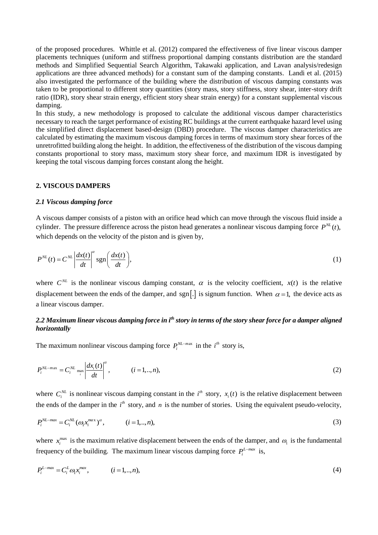of the proposed procedures. Whittle et al. (2012) compared the effectiveness of five linear viscous damper placements techniques (uniform and stiffness proportional damping constants distribution are the standard methods and Simplified Sequential Search Algorithm, Takawaki application, and Lavan analysis/redesign applications are three advanced methods) for a constant sum of the damping constants. Landi et al. (2015) also investigated the performance of the building where the distribution of viscous damping constants was taken to be proportional to different story quantities (story mass, story stiffness, story shear, inter-story drift ratio (IDR), story shear strain energy, efficient story shear strain energy) for a constant supplemental viscous damping.

In this study, a new methodology is proposed to calculate the additional viscous damper characteristics necessary to reach the target performance of existing RC buildings at the current earthquake hazard level using the simplified direct displacement based-design (DBD) procedure. The viscous damper characteristics are calculated by estimating the maximum viscous damping forces in terms of maximum story shear forces of the unretrofitted building along the height. In addition, the effectiveness of the distribution of the viscous damping constants proportional to story mass, maximum story shear force, and maximum IDR is investigated by keeping the total viscous damping forces constant along the height.

### **2. VISCOUS DAMPERS**

#### *2.1 Viscous damping force*

A viscous damper consists of a piston with an orifice head which can move through the viscous fluid inside a cylinder. The pressure difference across the piston head generates a nonlinear viscous damping force  $P^{NL}(t)$ , which depends on the velocity of the piston and is given by,

$$
P^{NL}(t) = C^{NL} \left| \frac{dx(t)}{dt} \right|^{\alpha} \text{sgn}\left(\frac{dx(t)}{dt}\right),\tag{1}
$$

where  $C^{NL}$  is the nonlinear viscous damping constant,  $\alpha$  is the velocity coefficient,  $x(t)$  is the relative displacement between the ends of the damper, and sgn.  $\lbrack . \rbrack$  is signum function. When  $\alpha = 1$ , the device acts as a linear viscous damper.

# *2.2 Maximum linear viscous damping force in ith story in terms of the story shear force for a damper aligned horizontally*

The maximum nonlinear viscous damping force  $P_i^{NL-max}$  in the *i*<sup>th</sup> story is,

$$
P_i^{NL-max} = C_i^{NL} \max_i \left| \frac{dx_i(t)}{dt} \right|^{\alpha}, \qquad (i = 1, ..., n),
$$
 (2)

where  $C_i^{NL}$  is nonlinear viscous damping constant in the  $i^{th}$  story,  $x_i(t)$  is the relative displacement between the ends of the damper in the  $i<sup>th</sup>$  story, and n is the number of stories. Using the equivalent pseudo-velocity,

$$
P_i^{NL-max} = C_i^{NL} (\omega_i x_i^{max})^{\alpha}, \qquad (i = 1, ..., n),
$$
\n(3)

where  $x_i^{\text{max}}$  is the maximum relative displacement between the ends of the damper, and  $\omega_1$  is the fundamental frequency of the building. The maximum linear viscous damping force  $P_i^{L-max}$  is,

$$
P_i^{L-max} = C_i^L \omega_i x_i^{max}, \qquad (i = 1, ..., n),
$$
\n(4)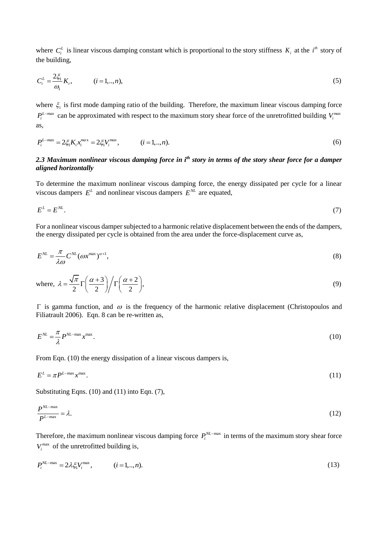where  $C_i^L$  is linear viscous damping constant which is proportional to the story stiffness  $K_i$  at the  $i^h$  story of the building,

$$
C_i^L = \frac{2\xi_1}{\omega_1} K_i, \qquad (i = 1, ..., n),
$$
\n(5)

where  $\xi_1$  is first mode damping ratio of the building. Therefore, the maximum linear viscous damping force  $P_i^{L-max}$  can be approximated with respect to the maximum story shear force of the unretrofitted building  $V_i^{max}$ as,

$$
P_i^{L-max} = 2\xi_1 K_i x_i^{max} = 2\xi_1 V_i^{max}, \qquad (i = 1,..,n).
$$
 (6)

## *2.3 Maximum nonlinear viscous damping force in i th story in terms of the story shear force for a damper aligned horizontally*

To determine the maximum nonlinear viscous damping force, the energy dissipated per cycle for a linear viscous dampers  $E^L$  and nonlinear viscous dampers  $E^{NL}$  are equated,

$$
E^L = E^{NL}.\tag{7}
$$

For a nonlinear viscous damper subjected to a harmonic relative displacement between the ends of the dampers, the energy dissipated per cycle is obtained from the area under the force-displacement curve as,

$$
E^{NL} = \frac{\pi}{\lambda \omega} C^{NL} (\omega x^{\text{max}})^{\alpha+1}, \tag{8}
$$

where, 
$$
\lambda = \frac{\sqrt{\pi}}{2} \Gamma\left(\frac{\alpha+3}{2}\right) / \Gamma\left(\frac{\alpha+2}{2}\right)
$$
, (9)

 $\Gamma$  is gamma function, and  $\omega$  is the frequency of the harmonic relative displacement (Christopoulos and Filiatrault 2006). Eqn. 8 can be re-written as,

$$
E^{NL} = \frac{\pi}{\lambda} P^{NL-\text{max}} x^{\text{max}}.
$$
 (10)

From Eqn. (10) the energy dissipation of a linear viscous dampers is,

$$
E^L = \pi P^{L-\max} x^{\max}.
$$
\n<sup>(11)</sup>

Substituting Eqns. (10) and (11) into Eqn. (7),

$$
\frac{P^{NL-\max}}{P^{L-\max}} = \lambda.
$$
\n(12)

Therefore, the maximum nonlinear viscous damping force  $P_i^{NL-max}$  in terms of the maximum story shear force  $V_i^{\text{max}}$  of the unretrofitted building is,

$$
P_i^{NL-\max} = 2\lambda \xi_i V_i^{\max}, \qquad (i = 1, ..., n). \tag{13}
$$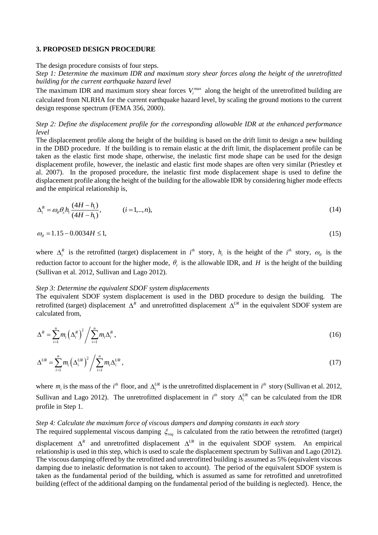#### **3. PROPOSED DESIGN PROCEDURE**

The design procedure consists of four steps.

*Step 1: Determine the maximum IDR and maximum story shear forces along the height of the unretrofitted building for the current earthquake hazard level*

The maximum IDR and maximum story shear forces  $V_i^{\text{max}}$  along the height of the unretrofitted building are calculated from NLRHA for the current earthquake hazard level, by scaling the ground motions to the current design response spectrum (FEMA 356, 2000).

## *Step 2: Define the displacement profile for the corresponding allowable IDR at the enhanced performance level*

The displacement profile along the height of the building is based on the drift limit to design a new building in the DBD procedure. If the building is to remain elastic at the drift limit, the displacement profile can be taken as the elastic first mode shape, otherwise, the inelastic first mode shape can be used for the design displacement profile, however, the inelastic and elastic first mode shapes are often very similar (Priestley et al. 2007). In the proposed procedure, the inelastic first mode displacement shape is used to define the displacement profile along the height of the building for the allowable IDR by considering higher mode effects and the empirical relationship is,

$$
\Delta_i^R = \omega_0 \theta_c h_i \frac{(4H - h_i)}{(4H - h_1)}, \qquad (i = 1, ..., n),
$$
\n(14)

$$
\omega_{\theta} = 1.15 - 0.0034H \le 1,\tag{15}
$$

where  $\Delta_i^R$  is the retrofitted (target) displacement in  $i^h$  story,  $h_i$  is the height of the  $i^h$  story,  $\omega_\theta$  is the reduction factor to account for the higher mode,  $\theta_c$  is the allowable IDR, and H is the height of the building (Sullivan et al. 2012, Sullivan and Lago 2012).

#### *Step 3: Determine the equivalent SDOF system displacements*

The equivalent SDOF system displacement is used in the DBD procedure to design the building. The retrofitted (target) displacement  $\Delta^R$  and unretrofitted displacement  $\Delta^{UR}$  in the equivalent SDOF system are calculated from,

$$
\Delta^R = \sum_{i=1}^n m_i \left(\Delta_i^R\right)^2 / \sum_{i=1}^n m_i \Delta_i^R,
$$
\n(16)

$$
\Delta^{UR} = \sum_{i=1}^{n} m_i \left( \Delta_i^{UR} \right)^2 / \sum_{i=1}^{n} m_i \Delta_i^{UR} , \qquad (17)
$$

where  $m_i$  is the mass of the  $i^h$  floor, and  $\Delta_i^{UR}$  is the unretrofitted displacement in  $i^h$  story (Sullivan et al. 2012, Sullivan and Lago 2012). The unretrofitted displacement in  $i<sup>th</sup>$  story  $\Delta_i^{UR}$  can be calculated from the IDR profile in Step 1.

## *Step 4: Calculate the maximum force of viscous dampers and damping constants in each story*

The required supplemental viscous damping  $\xi_{req}$  is calculated from the ratio between the retrofitted (target)

displacement  $\Delta^R$  and unretrofitted displacement  $\Delta^{UR}$  in the equivalent SDOF system. An empirical relationship is used in this step, which is used to scale the displacement spectrum by Sullivan and Lago (2012). The viscous damping offered by the retrofitted and unretrofitted building is assumed as 5% (equivalent viscous damping due to inelastic deformation is not taken to account). The period of the equivalent SDOF system is taken as the fundamental period of the building, which is assumed as same for retrofitted and unretrofitted building (effect of the additional damping on the fundamental period of the building is neglected). Hence, the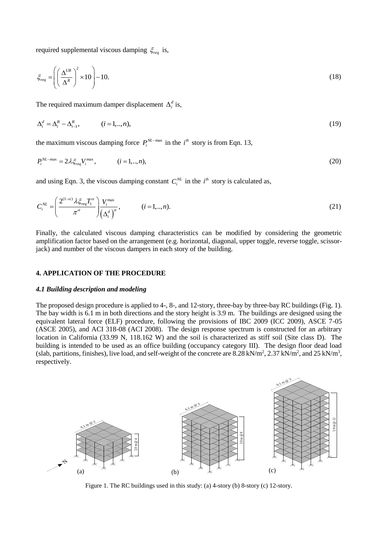required supplemental viscous damping  $\xi_{req}$  is,

$$
\xi_{req} = \left( \left( \frac{\Delta^{UR}}{\Delta^R} \right)^2 \times 10 \right) - 10. \tag{18}
$$

The required maximum damper displacement  $\Delta_i^d$  is,

$$
\Delta_i^d = \Delta_i^R - \Delta_{i-1}^R, \qquad (i = 1, ..., n),
$$
\n(19)

the maximum viscous damping force  $P_i^{NL-\max}$  in the  $i^{th}$  story is from Eqn. 13,

$$
P_i^{NL-\max} = 2\lambda \xi_{req} V_i^{\max}, \qquad (i = 1,..,n),
$$
\n(20)

and using Eqn. 3, the viscous damping constant  $C_i^{NL}$  in the  $i^{th}$  story is calculated as,

$$
C_i^{NL} = \left(\frac{2^{(1-\alpha)}\lambda \xi_{req} T_1^{\alpha}}{\pi^{\alpha}}\right) \frac{V_i^{\max}}{\left(\Delta_i^d\right)^{\alpha}}, \qquad (i = 1,..,n).
$$
\n(21)

Finally, the calculated viscous damping characteristics can be modified by considering the geometric amplification factor based on the arrangement (e.g. horizontal, diagonal, upper toggle, reverse toggle, scissorjack) and number of the viscous dampers in each story of the building.

#### **4. APPLICATION OF THE PROCEDURE**

#### *4.1 Building description and modeling*

The proposed design procedure is applied to 4-, 8-, and 12-story, three-bay by three-bay RC buildings (Fig. 1). The bay width is 6.1 m in both directions and the story height is 3.9 m. The buildings are designed using the equivalent lateral force (ELF) procedure, following the provisions of IBC 2009 (ICC 2009), ASCE 7-05 (ASCE 2005), and ACI 318-08 (ACI 2008). The design response spectrum is constructed for an arbitrary location in California (33.99 N, 118.162 W) and the soil is characterized as stiff soil (Site class D). The building is intended to be used as an office building (occupancy category III). The design floor dead load (slab, partitions, finishes), live load, and self-weight of the concrete are  $8.28 \text{ kN/m}^2$ ,  $2.37 \text{ kN/m}^2$ , and  $25 \text{ kN/m}^3$ , respectively.



Figure 1. The RC buildings used in this study: (a) 4-story (b) 8-story (c) 12-story.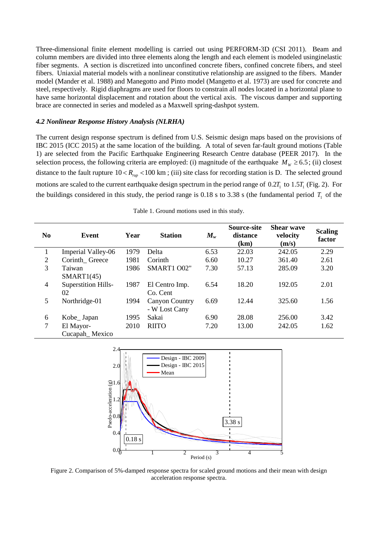Three-dimensional finite element modelling is carried out using PERFORM-3D (CSI 2011). Beam and column members are divided into three elements along the length and each element is modeled usinginelastic fiber segments. A section is discretized into unconfined concrete fibers, confined concrete fibers, and steel fibers. Uniaxial material models with a nonlinear constitutive relationship are assigned to the fibers. Mander model (Mander et al. 1988) and Manegotto and Pinto model (Mangetto et al. 1973) are used for concrete and steel, respectively. Rigid diaphragms are used for floors to constrain all nodes located in a horizontal plane to have same horizontal displacement and rotation about the vertical axis. The viscous damper and supporting brace are connected in series and modeled as a Maxwell spring-dashpot system.

### *4.2 Nonlinear Response History Analysis (NLRHA)*

The current design response spectrum is defined from U.S. Seismic design maps based on the provisions of IBC 2015 (ICC 2015) at the same location of the building. A total of seven far-fault ground motions (Table 1) are selected from the Pacific Earthquake Engineering Research Centre database (PEER 2017). In the selection process, the following criteria are employed: (i) magnitude of the earthquake  $M_w \ge 6.5$ ; (ii) closest distance to the fault rupture  $10 < R_{n\mu}$  < 100 km; (iii) site class for recording station is D. The selected ground motions are scaled to the current earthquake design spectrum in the period range of  $0.2T_1$  to  $1.5T_1$  (Fig. 2). For the buildings considered in this study, the period range is  $0.18$  s to  $3.38$  s (the fundamental period  $T<sub>1</sub>$  of the

| N <sub>0</sub> | Event                            | Year | <b>Station</b>                         | $M_{w}$ | <b>Source-site</b><br>distance<br>(km) | <b>Shear wave</b><br>velocity<br>(m/s) | <b>Scaling</b><br>factor |
|----------------|----------------------------------|------|----------------------------------------|---------|----------------------------------------|----------------------------------------|--------------------------|
|                | Imperial Valley-06               | 1979 | Delta                                  | 6.53    | 22.03                                  | 242.05                                 | 2.29                     |
| 2              | Corinth Greece                   | 1981 | Corinth                                | 6.60    | 10.27                                  | 361.40                                 | 2.61                     |
| 3              | Taiwan<br>SMART1(45)             | 1986 | SMART1 O02"                            | 7.30    | 57.13                                  | 285.09                                 | 3.20                     |
| $\overline{4}$ | <b>Superstition Hills-</b><br>02 | 1987 | El Centro Imp.<br>Co. Cent             | 6.54    | 18.20                                  | 192.05                                 | 2.01                     |
| 5              | Northridge-01                    | 1994 | <b>Canyon Country</b><br>- W Lost Cany | 6.69    | 12.44                                  | 325.60                                 | 1.56                     |
| 6              | Kobe_Japan                       | 1995 | Sakai                                  | 6.90    | 28.08                                  | 256.00                                 | 3.42                     |
| $\tau$         | El Mayor-<br>Cucapah_Mexico      | 2010 | <b>RIITO</b>                           | 7.20    | 13.00                                  | 242.05                                 | 1.62                     |

Table 1. Ground motions used in this study.



Figure 2. Comparison of 5%-damped response spectra for scaled ground motions and their mean with design acceleration response spectra.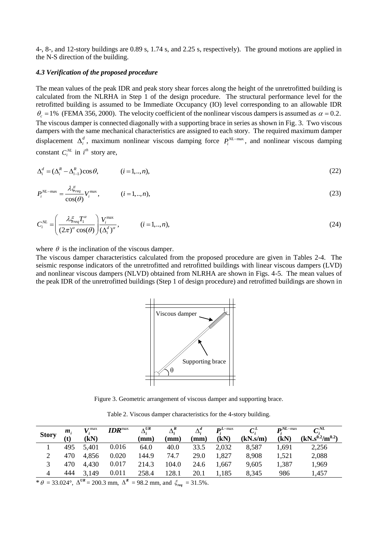4-, 8-, and 12-story buildings are 0.89 s, 1.74 s, and 2.25 s, respectively). The ground motions are applied in the N-S direction of the building.

#### *4.3 Verification of the proposed procedure*

The mean values of the peak IDR and peak story shear forces along the height of the unretrofitted building is calculated from the NLRHA in Step 1 of the design procedure. The structural performance level for the retrofitted building is assumed to be Immediate Occupancy (IO) level corresponding to an allowable IDR  $\theta_c = 1\%$  (FEMA 356, 2000). The velocity coefficient of the nonlinear viscous dampers is assumed as  $\alpha = 0.2$ . The viscous damper is connected diagonally with a supporting brace in series as shown in Fig. 3. Two viscous dampers with the same mechanical characteristics are assigned to each story. The required maximum damper displacement  $\Delta_i^d$ , maximum nonlinear viscous damping force  $P_i^{NL-\text{max}}$ , and nonlinear viscous damping constant  $C_i^{NL}$  in  $i^{th}$  story are,

$$
\Delta_i^d = (\Delta_i^R - \Delta_{i-1}^R)\cos\theta, \qquad (i = 1, \dots, n),
$$
\n(22)

$$
P_i^{NL-\max} = \frac{\lambda \xi_{req}}{\cos(\theta)} V_i^{\max}, \qquad (i = 1, ..., n),
$$
\n(23)

$$
C_i^{NL} = \left(\frac{\lambda \xi_{req} T_i^{\alpha}}{(2\pi)^{\alpha} \cos(\theta)}\right) \frac{V_i^{\max}}{(\Delta_i^d)^{\alpha}}, \qquad (i = 1, ..., n),
$$
\n(24)

where  $\theta$  is the inclination of the viscous damper.

The viscous damper characteristics calculated from the proposed procedure are given in Tables 2-4. The seismic response indicators of the unretrofitted and retrofitted buildings with linear viscous dampers (LVD) and nonlinear viscous dampers (NLVD) obtained from NLRHA are shown in Figs. 4-5. The mean values of the peak IDR of the unretrofitted buildings (Step 1 of design procedure) and retrofitted buildings are shown in



Figure 3. Geometric arrangement of viscous damper and supporting brace.

Table 2. Viscous damper characteristics for the 4-story building.

| <b>Story</b><br>(kN)<br>(kN)<br>(kN)<br>(kN.s/m)<br>(t)<br>$\mathbf{m}\mathbf{m}$ )<br>(mm)<br>$\mathbf{m}\mathbf{m}$<br>0.016<br>495<br>5,401<br>64.0<br>2,032<br>8,587<br>1,691<br>40.0<br>33.5<br>0.020<br>470<br>74.7<br>4,856<br>144.9<br>l.827<br>8,908<br>1,521<br>29.0 | $m_{\rm i}$ | r z max | $\textit{IDR}^{\text{max}}$ | $\Lambda$ UR | $\Delta_i^R$ | $\Delta_i^a$ | $\mathbf{D}^{L-\max}$ | $C^L_i$ | $\mathbf{D}$ NL-max | $\mathcal{C}^{NL}$     |
|--------------------------------------------------------------------------------------------------------------------------------------------------------------------------------------------------------------------------------------------------------------------------------|-------------|---------|-----------------------------|--------------|--------------|--------------|-----------------------|---------|---------------------|------------------------|
|                                                                                                                                                                                                                                                                                |             |         |                             |              |              |              |                       |         |                     | $(kN_s^{0.2}/m^{0.2})$ |
|                                                                                                                                                                                                                                                                                |             |         |                             |              |              |              |                       |         |                     | 2,256                  |
|                                                                                                                                                                                                                                                                                |             |         |                             |              |              |              |                       |         |                     | 2,088                  |
| 0.017<br>470<br>214.3<br>1,387<br>4,430<br>9,605<br>104.0<br>24.6<br>.667                                                                                                                                                                                                      |             |         |                             |              |              |              |                       |         |                     | 1,969                  |
| 0.011<br>444<br>3,149<br>258.4<br>128.1<br>8,345<br>1,185<br>986<br>20.1<br>4                                                                                                                                                                                                  |             |         |                             |              |              |              |                       |         |                     | .,457                  |

\*  $\theta = 33.024^{\circ}$ ,  $\Delta^{UR} = 200.3$  mm,  $\Delta^{R} = 98.2$  mm, and  $\xi_{req} = 31.5\%$ .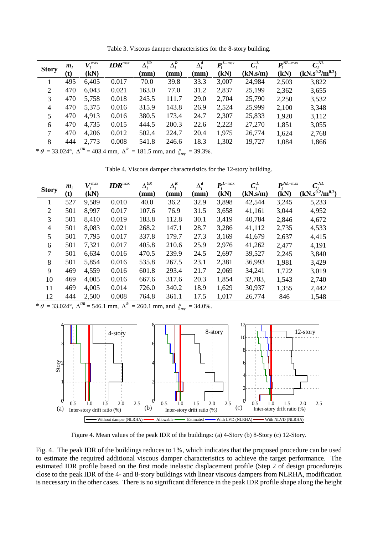| <b>Story</b>   | m <sub>i</sub> | $V^{\max}_{i}$ | $\textit{IDR}^{\text{max}}$ | $\Delta_i^{UR}$ | $\Delta_i^R$ | $\Delta_i^d$ | $\mathbf{D}^{L-\max}$ | $C_i^L$  | $\mathbf{D}^{NL-\max}$ | $\mathcal{C}^{NL}$     |
|----------------|----------------|----------------|-----------------------------|-----------------|--------------|--------------|-----------------------|----------|------------------------|------------------------|
|                | (t)            | (kN)           |                             | $(\mathbf{mm})$ | (mm)         | mm)          | (kN)                  | (kN.s/m) | (kN)                   | $(kN_s^{0.2}/m^{0.2})$ |
|                | 495            | 6,405          | 0.017                       | 70.0            | 39.8         | 33.3         | 3,007                 | 24,984   | 2,503                  | 3,822                  |
| 2              | 470            | 6,043          | 0.021                       | 163.0           | 77.0         | 31.2         | 2,837                 | 25,199   | 2,362                  | 3,655                  |
| 3              | 470            | 5,758          | 0.018                       | 245.5           | 111.7        | 29.0         | 2,704                 | 25,790   | 2,250                  | 3,532                  |
| $\overline{4}$ | 470            | 5,375          | 0.016                       | 315.9           | 143.8        | 26.9         | 2,524                 | 25,999   | 2,100                  | 3,348                  |
| 5              | 470            | 4,913          | 0.016                       | 380.5           | 173.4        | 24.7         | 2,307                 | 25,833   | 1,920                  | 3,112                  |
| 6              | 470            | 4,735          | 0.015                       | 444.5           | 200.3        | 22.6         | 2,223                 | 27,270   | 1,851                  | 3,055                  |
| 7              | 470            | 4,206          | 0.012                       | 502.4           | 224.7        | 20.4         | 1,975                 | 26,774   | 1,624                  | 2,768                  |
| 8              | 444            | 2,773          | 0.008                       | 541.8           | 246.6        | 18.3         | 1,302                 | 19,727   | 1,084                  | 1,866                  |

Table 3. Viscous damper characteristics for the 8-story building.

\*  $\theta = 33.024^{\circ}$ ,  $\Delta^{UR} = 403.4$  mm,  $\Delta^{R} = 181.5$  mm, and  $\zeta_{req} = 39.3\%$ .

Table 4. Viscous damper characteristics for the 12-story building.

|              | $m_i$ | $V_i^{\max}$ | $\textit{IDR}^{\text{max}}$ | $\Lambda$ UR<br>Δ. | $\overline{\Delta}_i^R$ | $\Delta_i^d$    | $\mathbf{D}^{L-\max}$ | $C_i^L$  | $\mathbf{D}^{NL-\max}$ | $\mathcal{C}^{NL}$     |
|--------------|-------|--------------|-----------------------------|--------------------|-------------------------|-----------------|-----------------------|----------|------------------------|------------------------|
| <b>Story</b> | (t)   | (kN)         |                             | (mm)               | $(\mathbf{mm})$         | $(\mathbf{mm})$ | (kN)                  | (kN.s/m) | (kN)                   | $(kN_s^{0.2}/m^{0.2})$ |
|              | 527   | 9,589        | 0.010                       | 40.0               | 36.2                    | 32.9            | 3,898                 | 42,544   | 3,245                  | 5,233                  |
| 2            | 501   | 8,997        | 0.017                       | 107.6              | 76.9                    | 31.5            | 3,658                 | 41,161   | 3,044                  | 4,952                  |
| 3            | 501   | 8,410        | 0.019                       | 183.8              | 112.8                   | 30.1            | 3,419                 | 40,784   | 2,846                  | 4,672                  |
| 4            | 501   | 8,083        | 0.021                       | 268.2              | 147.1                   | 28.7            | 3,286                 | 41,112   | 2,735                  | 4,533                  |
| 5            | 501   | 7,795        | 0.017                       | 337.8              | 179.7                   | 27.3            | 3,169                 | 41,679   | 2,637                  | 4,415                  |
| 6            | 501   | 7,321        | 0.017                       | 405.8              | 210.6                   | 25.9            | 2,976                 | 41,262   | 2,477                  | 4,191                  |
| 7            | 501   | 6,634        | 0.016                       | 470.5              | 239.9                   | 24.5            | 2,697                 | 39,527   | 2,245                  | 3,840                  |
| 8            | 501   | 5,854        | 0.016                       | 535.8              | 267.5                   | 23.1            | 2,381                 | 36,993   | 1,981                  | 3,429                  |
| 9            | 469   | 4,559        | 0.016                       | 601.8              | 293.4                   | 21.7            | 2,069                 | 34,241   | 1,722                  | 3,019                  |
| 10           | 469   | 4,005        | 0.016                       | 667.6              | 317.6                   | 20.3            | 1,854                 | 32,783,  | 1,543                  | 2,740                  |
| 11           | 469   | 4,005        | 0.014                       | 726.0              | 340.2                   | 18.9            | 1,629                 | 30,937   | 1,355                  | 2,442                  |
| 12           | 444   | 2,500        | 0.008                       | 764.8              | 361.1                   | 17.5            | 1,017                 | 26,774   | 846                    | 1,548                  |

\*  $\theta = 33.024^{\circ}$ ,  $\Delta^{UR} = 546.1$  mm,  $\Delta^{R} = 260.1$  mm, and  $\zeta_{req} = 34.0\%$ .



Figure 4. Mean values of the peak IDR of the buildings: (a) 4-Story (b) 8-Story (c) 12-Story.

Fig. 4. The peak IDR of the buildings reduces to 1%, which indicates that the proposed procedure can be used to estimate the required additional viscous damper characteristics to achieve the target performance. The estimated IDR profile based on the first mode inelastic displacement profile (Step 2 of design procedure)is close to the peak IDR of the 4- and 8-story buildings with linear viscous dampers from NLRHA, modification is necessary in the other cases. There is no significant difference in the peak IDR profile shape along the height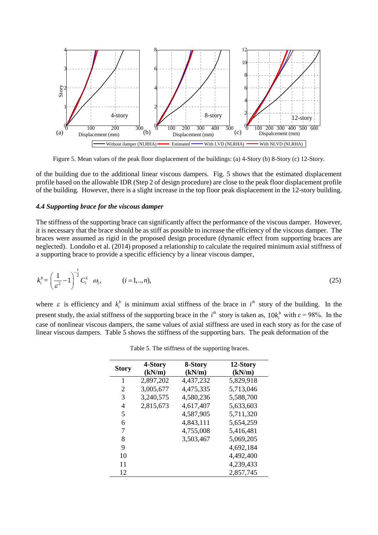

Figure 5. Mean values of the peak floor displacement of the buildings: (a) 4-Story (b) 8-Story (c) 12-Story.

of the building due to the additional linear viscous dampers. Fig. 5 shows that the estimated displacement profile based on the allowable IDR (Step 2 of design procedure) are close to the peak floor displacement profile of the building. However, there is a slight increase in the top floor peak displacement in the 12-story building.

#### *4.4 Supporting brace for the viscous damper*

The stiffness of the supporting brace can significantly affect the performance of the viscous damper. However, it is necessary that the brace should be as stiff as possible to increase the efficiency of the viscous damper. The braces were assumed as rigid in the proposed design procedure (dynamic effect from supporting braces are neglected). Londoño et al. (2014) proposed a relationship to calculate the required minimum axial stiffness of a supporting brace to provide a specific efficiency by a linear viscous damper,

$$
k_i^b = \left(\frac{1}{\varepsilon^2} - 1\right)^{-\frac{1}{2}} C_i^L \quad \omega_1, \qquad (i = 1, ..., n), \tag{25}
$$

where  $\varepsilon$  is efficiency and  $k_i^b$  is minimum axial stiffness of the brace in  $i^h$  story of the building. In the present study, the axial stiffness of the supporting brace in the  $i<sup>th</sup>$  story is taken as,  $10k<sup>b</sup><sub>i</sub>$  with  $\varepsilon = 98\%$ . In the case of nonlinear viscous dampers, the same values of axial stiffness are used in each story as for the case of linear viscous dampers. Table 5 shows the stiffness of the supporting bars. The peak deformation of the

|              | 4-Story   | 8-Story   | 12-Story  |
|--------------|-----------|-----------|-----------|
| <b>Story</b> | (kN/m)    | (kN/m)    | (kN/m)    |
| 1            | 2,897,202 | 4,437,232 | 5,829,918 |
| 2            | 3,005,677 | 4,475,335 | 5,713,046 |
| 3            | 3,240,575 | 4,580,236 | 5,588,700 |
| 4            | 2,815,673 | 4,617,407 | 5,633,603 |
| 5            |           | 4,587,905 | 5,711,320 |
| 6            |           | 4,843,111 | 5,654,259 |
| 7            |           | 4,755,008 | 5,416,481 |
| 8            |           | 3,503,467 | 5,069,205 |
| 9            |           |           | 4,692,184 |
| 10           |           |           | 4,492,400 |
| 11           |           |           | 4,239,433 |
| 12           |           |           | 2,857,745 |

Table 5. The stiffness of the supporting braces.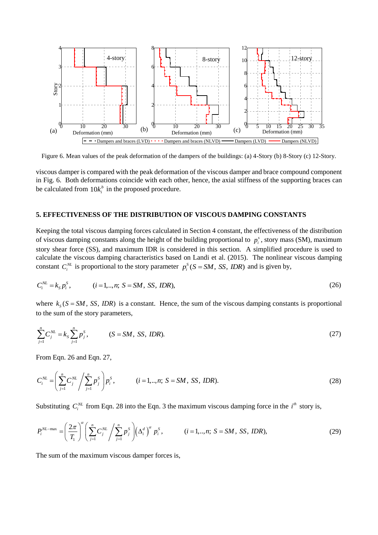

Figure 6. Mean values of the peak deformation of the dampers of the buildings: (a) 4-Story (b) 8-Story (c) 12-Story.

viscous damper is compared with the peak deformation of the viscous damper and brace compound component in Fig. 6. Both deformations coincide with each other, hence, the axial stiffness of the supporting braces can be calculated from  $10k_i^b$  in the proposed procedure.

### **5. EFFECTIVENESS OF THE DISTRIBUTION OF VISCOUS DAMPING CONSTANTS**

Keeping the total viscous damping forces calculated in Section 4 constant, the effectiveness of the distribution of viscous damping constants along the height of the building proportional to  $p_i^s$ , story mass (SM), maximum story shear force (SS), and maximum IDR is considered in this section. A simplified procedure is used to calculate the viscous damping characteristics based on Landi et al. (2015). The nonlinear viscous damping constant  $C_i^{NL}$  is proportional to the story parameter  $p_i^S(S = SM, SS, IDR)$  and is given by,

$$
C_i^{NL} = k_S p_i^S, \t (i = 1, ..., n; S = SM, SS, IDR), \t (26)
$$

where  $k_s$  ( $S = SM$ , *SS*, *IDR*) is a constant. Hence, the sum of the viscous damping constants is proportional

to the sum of the story parameters,  
\n
$$
\sum_{j=1}^{n} C_j^{NL} = k_S \sum_{j=1}^{n} p_j^{S}, \qquad (S = SM, SS, IDR).
$$
\n(27)

From Eqn. 26 and Eqn. 27,  
\n
$$
C_i^{NL} = \left(\sum_{j=1}^n C_j^{NL} / \sum_{j=1}^n p_j^S\right) p_i^S, \qquad (i = 1, ..., n; S = SM, SS, IDR).
$$
\n(28)

Substituting 
$$
C_i^{NL}
$$
 from Eqn. 28 into the Eqn. 3 the maximum viscous damping force in the  $i^{th}$  story is,  
\n
$$
P_i^{NL-\max} = \left(\frac{2\pi}{T_1}\right)^{\alpha} \left(\sum_{j=1}^n C_j^{NL}\right)^{\alpha} \left(\sum_{j=1}^n P_j^{S}\right) \left(\Delta_i^d\right)^{\alpha} p_i^S, \qquad (i = 1, ..., n; S = SM, SS, DDR), \qquad (29)
$$

The sum of the maximum viscous damper forces is,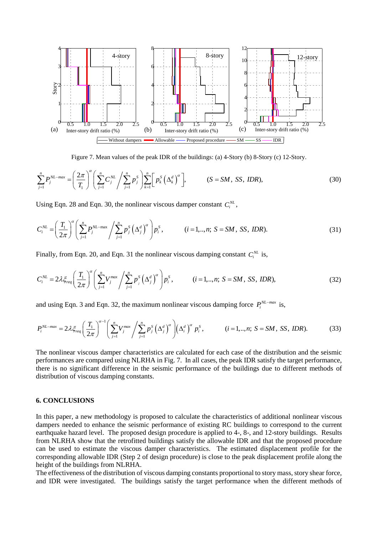

$$
\text{Figure 7. Mean values of the peak IDR of the buildings: (a) 4-Story (b) 8-Story (c) 12-Story.}
$$
\n
$$
\sum_{j=1}^{n} P_j^{NL-max} = \left(\frac{2\pi}{T_1}\right)^{\alpha} \left(\sum_{j=1}^{n} C_j^{NL} \left/ \sum_{j=1}^{n} p_j^S \right)\right) \sum_{k=1}^{n} \left[ p_k^S \left(\Delta_k^d\right)^{\alpha} \right], \qquad (S = SM, SS, IDR), \tag{30}
$$

Using Eqn. 28 and Eqn. 30, the nonlinear viscous damper constant 
$$
C_i^{NL}
$$
,  
\n
$$
C_i^{NL} = \left(\frac{T_1}{2\pi}\right)^{\alpha} \left(\sum_{j=1}^n P_j^{NL-\max}\right) \left(\sum_{j=1}^n p_j^S \left(\Delta_j^d\right)^{\alpha}\right) p_i^S, \qquad (i = 1, ..., n; S = SM, SS, IDR).
$$
\n(31)

Finally, from Eqn. 20, and Eqn. 31 the nonlinear viscous damping constant 
$$
C_i^{NL}
$$
 is,  
\n
$$
C_i^{NL} = 2\lambda \xi_{req} \left(\frac{T_1}{2\pi}\right)^{\alpha} \left(\sum_{j=1}^n V_j^{max} / \sum_{j=1}^n p_j^S \left(\Delta_j^d\right)^{\alpha}\right) p_i^S, \qquad (i = 1, ..., n; S = SM, SS, DDR), \qquad (32)
$$

$$
C_i = 2\pi \xi_{req} \left(\frac{1}{2\pi}\right) \left(\frac{\sum_{j=1}^{V_j} \sum_{j=1}^{P_j (\Delta_j)} \mu_i, \quad (i = 1, ..., n, 5 = 5M, 5S, 1DK),\right)
$$
\nand using Eqn. 3 and Eqn. 32, the maximum nonlinear viscous damping force  $P_i^{NL-max}$  is,  
\n
$$
P_i^{NL-max} = 2\lambda \xi_{req} \left(\frac{T_1}{2\pi}\right)^{\alpha-1} \left(\sum_{j=1}^{n} V_j^{max} / \sum_{j=1}^{n} p_j^{S} (\Delta_j^d)^{\alpha}\right) (\Delta_i^d)^{\alpha} p_i^{S}, \quad (i = 1, ..., n; S = SM, SS, IDR).
$$
\n(33)

The nonlinear viscous damper characteristics are calculated for each case of the distribution and the seismic performances are compared using NLRHA in Fig. 7. In all cases, the peak IDR satisfy the target performance, there is no significant difference in the seismic performance of the buildings due to different methods of distribution of viscous damping constants.

## **6. CONCLUSIONS**

In this paper, a new methodology is proposed to calculate the characteristics of additional nonlinear viscous dampers needed to enhance the seismic performance of existing RC buildings to correspond to the current earthquake hazard level. The proposed design procedure is applied to 4-, 8-, and 12-story buildings. Results from NLRHA show that the retrofitted buildings satisfy the allowable IDR and that the proposed procedure can be used to estimate the viscous damper characteristics. The estimated displacement profile for the corresponding allowable IDR (Step 2 of design procedure) is close to the peak displacement profile along the height of the buildings from NLRHA.

The effectiveness of the distribution of viscous damping constants proportional to story mass, story shear force, and IDR were investigated. The buildings satisfy the target performance when the different methods of